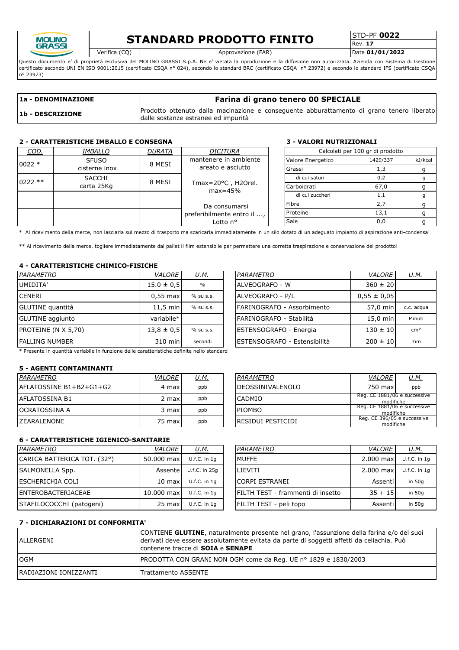

# **STANDARD PRODOTTO FINITO**

Rev. **17**

Verifica (CQ) Approvazione (FAR) Data **01/01/2022**

Questo documento e' di proprietà esclusiva del MOLINO GRASSI S.p.A. Ne e' vietata la riproduzione e la diffusione non autorizzata. Azienda con Sistema di Gestione certificato secondo UNI EN ISO 9001:2015 (certificato CSQA nº 024), secondo lo standard BRC (certificato CSQA nº 23972) e secondo lo standard IFS (certificato CSQA n° 23973)

| 1a - DENOMINAZIONE | Farina di grano tenero 00 SPECIALE                                                                                               |  |  |  |  |  |  |  |  |  |
|--------------------|----------------------------------------------------------------------------------------------------------------------------------|--|--|--|--|--|--|--|--|--|
| 1b - DESCRIZIONE   | Prodotto ottenuto dalla macinazione e conseguente abburattamento di grano tenero liberato<br>dalle sostanze estranee ed impurità |  |  |  |  |  |  |  |  |  |

### **2 - CARATTERISTICHE IMBALLO E CONSEGNA 3 - VALORI NUTRIZIONALI**

| COD.      | <i>IMBALLO</i> | <b>DURATA</b>     | DICITURA                                   |        |                   | Calcolati per 100 gr di prodotto |               |     |  |
|-----------|----------------|-------------------|--------------------------------------------|--------|-------------------|----------------------------------|---------------|-----|--|
| $0022 *$  | <b>SFUSO</b>   | 8 MESI            | mantenere in ambiente                      |        | Valore Energetico | 1429/337                         | kJ/kcal       |     |  |
|           | cisterne inox  | areato e asciutto |                                            | Grassi |                   |                                  |               |     |  |
| $0222$ ** | <b>SACCHI</b>  | 8 MESI            | Tmax= $20^{\circ}$ C, H2Orel.<br>$max=45%$ |        |                   |                                  | di cui saturi | 0,2 |  |
|           | carta 25Kg     |                   |                                            |        | Carboidrati       | 67,0                             |               |     |  |
|           |                |                   |                                            |        | di cui zuccheri   | 1.1                              |               |     |  |
|           |                |                   | Da consumarsi                              |        | Fibre             |                                  |               |     |  |
|           |                |                   | preferibilmente entro il ,                 |        | Proteine          | 13,1                             |               |     |  |
| Lotto n°  |                |                   |                                            | Sale   | 0.0               |                                  |               |     |  |

\* Al ricevimento della merce, non lasciarla sul mezzo di trasporto ma scaricarla immediatamente in un silo dotato di un adeguato impianto di aspirazione anti-condensa!

\*\* Al ricevimento della merce, togliere immediatamente dal pallet il film estensibile per permettere una corretta traspirazione e conservazione del prodotto!

#### **4 - CARATTERISTICHE CHIMICO-FISICHE**

| PARAMETRO                                                                                                                                                                                                                    | <b>VALORE</b>  | <u>U.M.</u>   | PARAMETRO                            | VALORE          | <u>U.M.</u>     |
|------------------------------------------------------------------------------------------------------------------------------------------------------------------------------------------------------------------------------|----------------|---------------|--------------------------------------|-----------------|-----------------|
| UMIDITA'                                                                                                                                                                                                                     | $15.0 \pm 0.5$ | $\frac{0}{0}$ | <b>IALVEOGRAFO - W</b>               | $360 \pm 20$    |                 |
| <b>CENERI</b>                                                                                                                                                                                                                | $0.55$ max     | % su s.s.     | ALVEOGRAFO - P/L                     | $0.55 \pm 0.05$ |                 |
| <b>GLUTINE</b> quantità                                                                                                                                                                                                      | $11.5$ min     | % su s.s.     | FARINOGRAFO - Assorbimento           | 57.0 min        | c.c. acqua      |
| <b>GLUTINE</b> aggiunto                                                                                                                                                                                                      | variabile*     |               | FARINOGRAFO - Stabilità              | 15.0 min        | Minuti          |
| PROTEINE (N X 5,70)                                                                                                                                                                                                          | $13.8 \pm 0.5$ | % su s.s.     | <b>ESTENSOGRAFO - Energia</b>        | $130 \pm 10$    | cm <sup>2</sup> |
| <b>FALLING NUMBER</b>                                                                                                                                                                                                        | 310 min        | secondi       | <b>IESTENSOGRAFO - Estensibilità</b> | $200 \pm 10$    | mm              |
| . We consider the constant of the state of the state of the constant state of the constant of the state of the state of the state of the state of the state of the state of the state of the state of the state of the state |                |               |                                      |                 |                 |

| PARAMETRO                    | VALORE          | J.M.            |
|------------------------------|-----------------|-----------------|
| ALVEOGRAFO - W               | $360 \pm 20$    |                 |
| ALVEOGRAFO - P/L             | $0,55 \pm 0,05$ |                 |
| FARINOGRAFO - Assorbimento   | 57,0 min        | c.c. acqua      |
| FARINOGRAFO - Stabilità      | 15,0 min        | Minuti          |
| ESTENSOGRAFO - Energia       | $130 \pm 10$    | cm <sup>2</sup> |
| ESTENSOGRAFO - Estensibilità | $200 \pm 10$    | mm              |

\* Presente in quantità variabile in funzione delle caratteristiche definite nello standard

### **5 - AGENTI CONTAMINANTI**

| PARAMETRO                | <u>VALORE</u> | <u>U.M.</u> |               | PARAMETRO          | <b>VALORE</b>                             | <u>U.M.</u> |
|--------------------------|---------------|-------------|---------------|--------------------|-------------------------------------------|-------------|
| lAFLATOSSINE B1+B2+G1+G2 | 4 max         | ppb         |               | IDEOSSINIVALENOLO  | 750 max                                   | ppb         |
| IAFLATOSSINA B1          | 2 maxl        | ppb         | <b>CADMIO</b> |                    | Reg. CE 1881/06 e successive<br>modifiche |             |
| IOCRATOSSINA A           | 3 maxl        | ppb         | PIOMBO        |                    | Reg. CE 1881/06 e successive<br>modifiche |             |
| <b>IZEARALENONE</b>      | 75 max        | ppb         |               | IRESIDUI PESTICIDI | Reg. CE 396/05 e successive<br>modifiche  |             |

### **6 - CARATTERISTICHE IGIENICO-SANITARIE**

| PARAMETRO                   | <b>VALORE</b> | <u>U.M.</u>      | PARAMETRO                         | VALORE    | <u>U.M.</u>      |
|-----------------------------|---------------|------------------|-----------------------------------|-----------|------------------|
| CARICA BATTERICA TOT. (32°) | 50.000 max    | $U.f.C.$ in $1q$ | <b>IMUFFE</b>                     | 2.000 max | $U.f.C.$ in $1c$ |
| <b>SALMONELLA Spp.</b>      | Assentel      | U.f.C. in 25g    | <b>ILIEVITI</b>                   | 2.000 max | $U.f.C.$ in $1c$ |
| <b>ESCHERICHIA COLI</b>     | $10$ max      | $U.f.C.$ in 1q   | <b>CORPI ESTRANEI</b>             | Assenti   | in 50g           |
| <b>IENTEROBACTERIACEAE</b>  | 10.000 max    | $U.f.C.$ in 1q   | FILTH TEST - frammenti di insetto | $35 + 15$ | in 50a           |
| STAFILOCOCCHI (patogeni)    | 25 max        | $U.f.C.$ in 1q   | FILTH TEST - peli topo            | Assentil  | in 50g           |

| PARAMETRO               | <i>VALORE</i>                             | U.M. |
|-------------------------|-------------------------------------------|------|
| <b>DEOSSINIVALENOLO</b> | 750 max                                   | ppb  |
| CADMIO                  | Reg. CE 1881/06 e successive<br>modifiche |      |
| PIOMBO                  | Reg. CE 1881/06 e successive<br>modifiche |      |
| RESIDUI PESTICIDI       | Reg. CE 396/05 e successive<br>modifiche  |      |

| PARAMETRO                         | VALORE    | U.M.           |
|-----------------------------------|-----------|----------------|
| <b>MUFFE</b>                      | 2.000 max | $U.f.C.$ in 1q |
| LIEVITI                           | 2.000 max | $U.f.C.$ in 1q |
| <b>CORPI ESTRANEI</b>             | Assentil  | in $50q$       |
| FILTH TEST - frammenti di insetto | $35 + 15$ | in $50q$       |
| FILTH TEST - peli topo            | Assentil  | in $50q$       |

### **7 - DICHIARAZIONI DI CONFORMITA'**

| <b>ALLERGENI</b>       | CONTIENE GLUTINE, naturalmente presente nel grano, l'assunzione della farina e/o dei suoi<br>derivati deve essere assolutamente evitata da parte di soggetti affetti da celiachia. Può<br>contenere tracce di SOIA e SENAPE |
|------------------------|-----------------------------------------------------------------------------------------------------------------------------------------------------------------------------------------------------------------------------|
| <b>OGM</b>             | PRODOTTA CON GRANI NON OGM come da Reg. UE nº 1829 e 1830/2003                                                                                                                                                              |
| IRADIAZIONI IONIZZANTI | <b>Trattamento ASSENTE</b>                                                                                                                                                                                                  |